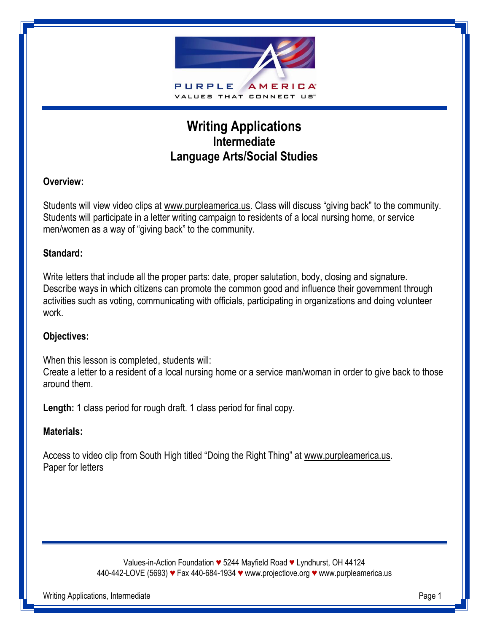

# **Writing Applications Intermediate Language Arts/Social Studies**

## **Overview:**

Students will view video clips at www.purpleamerica.us. Class will discuss "giving back" to the community. Students will participate in a letter writing campaign to residents of a local nursing home, or service men/women as a way of "giving back" to the community.

### **Standard:**

Write letters that include all the proper parts: date, proper salutation, body, closing and signature. Describe ways in which citizens can promote the common good and influence their government through activities such as voting, communicating with officials, participating in organizations and doing volunteer work.

### **Objectives:**

When this lesson is completed, students will:

Create a letter to a resident of a local nursing home or a service man/woman in order to give back to those around them.

**Length:** 1 class period for rough draft. 1 class period for final copy.

## **Materials:**

Access to video clip from South High titled "Doing the Right Thing" at www.purpleamerica.us. Paper for letters

> Values-in-Action Foundation *♥* 5244 Mayfield Road *♥* Lyndhurst, OH 44124 440-442-LOVE (5693) *♥* Fax 440-684-1934 *♥* www.projectlove.org *♥* www.purpleamerica.us

Writing Applications, Intermediate **Page 1**